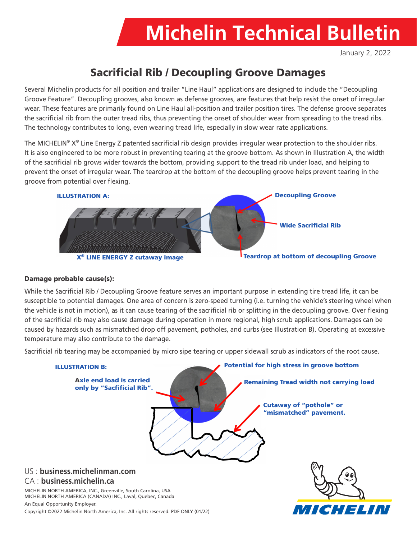# **Michelin Technical Bulletin**

January 2, 2022

## Sacrificial Rib / Decoupling Groove Damages

Several Michelin products for all position and trailer "Line Haul" applications are designed to include the "Decoupling Groove Feature". Decoupling grooves, also known as defense grooves, are features that help resist the onset of irregular wear. These features are primarily found on Line Haul all-position and trailer position tires. The defense groove separates the sacrificial rib from the outer tread ribs, thus preventing the onset of shoulder wear from spreading to the tread ribs. The technology contributes to long, even wearing tread life, especially in slow wear rate applications.

The MICHELIN<sup>®</sup>  $X^{\circ}$  Line Energy Z patented sacrificial rib design provides irregular wear protection to the shoulder ribs. It is also engineered to be more robust in preventing tearing at the groove bottom. As shown in Illustration A, the width of the sacrificial rib grows wider towards the bottom, providing support to the tread rib under load, and helping to prevent the onset of irregular wear. The teardrop at the bottom of the decoupling groove helps prevent tearing in the groove from potential over flexing.



#### Damage probable cause(s):

While the Sacrificial Rib / Decoupling Groove feature serves an important purpose in extending tire tread life, it can be susceptible to potential damages. One area of concern is zero-speed turning (i.e. turning the vehicle's steering wheel when the vehicle is not in motion), as it can cause tearing of the sacrificial rib or splitting in the decoupling groove. Over flexing of the sacrificial rib may also cause damage during operation in more regional, high scrub applications. Damages can be caused by hazards such as mismatched drop off pavement, potholes, and curbs (see Illustration B). Operating at excessive temperature may also contribute to the damage.

Sacrificial rib tearing may be accompanied by micro sipe tearing or upper sidewall scrub as indicators of the root cause.